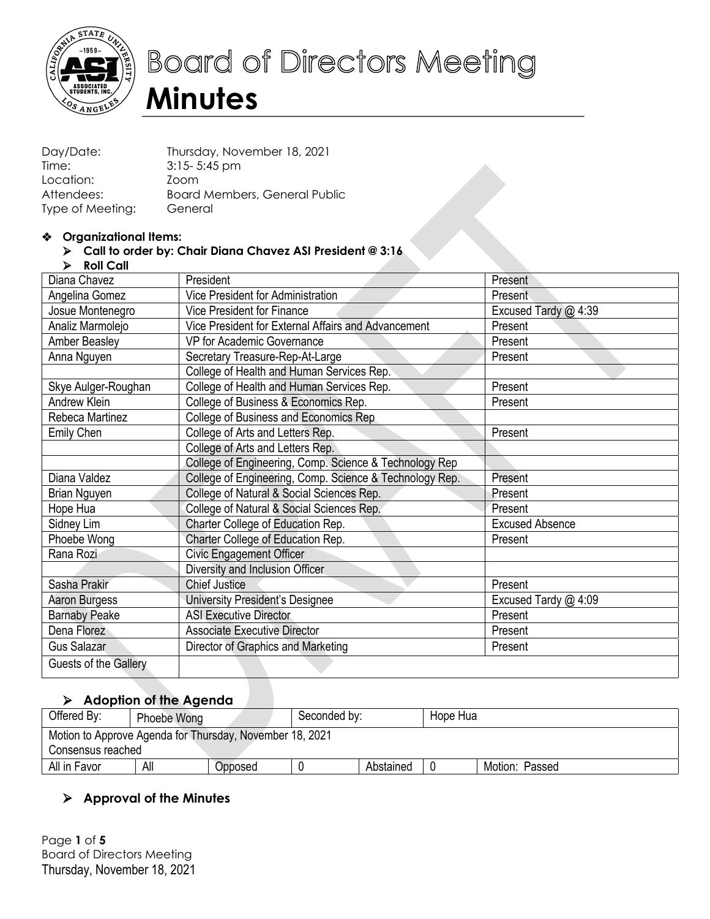

# **Board of Directors Meeting Minutes**

| Day/Date:        | Thursday, November 18, 2021   |
|------------------|-------------------------------|
| Time:            | $3:15 - 5:45$ pm              |
| Location:        | Zoom                          |
| Attendees:       | Board Members, General Public |
| Type of Meeting: | General                       |

#### $\triangleq$  Organizational Items:

#### Ø **Call to order by: Chair Diana Chavez ASI President @ 3:16**

Ø **Roll Call**

| Diana Chavez          | President                                               | Present                |
|-----------------------|---------------------------------------------------------|------------------------|
| Angelina Gomez        | Vice President for Administration                       | Present                |
| Josue Montenegro      | Vice President for Finance                              | Excused Tardy @ 4:39   |
| Analiz Marmolejo      | Vice President for External Affairs and Advancement     | Present                |
| Amber Beasley         | VP for Academic Governance                              | Present                |
| Anna Nguyen           | Secretary Treasure-Rep-At-Large                         | Present                |
|                       | College of Health and Human Services Rep.               |                        |
| Skye Aulger-Roughan   | College of Health and Human Services Rep.               | Present                |
| Andrew Klein          | College of Business & Economics Rep.                    | Present                |
| Rebeca Martinez       | College of Business and Economics Rep                   |                        |
| Emily Chen            | College of Arts and Letters Rep.                        | Present                |
|                       | College of Arts and Letters Rep.                        |                        |
|                       | College of Engineering, Comp. Science & Technology Rep  |                        |
| Diana Valdez          | College of Engineering, Comp. Science & Technology Rep. | Present                |
| Brian Nguyen          | College of Natural & Social Sciences Rep.               | Present                |
| Hope Hua              | College of Natural & Social Sciences Rep.               | Present                |
| Sidney Lim            | Charter College of Education Rep.                       | <b>Excused Absence</b> |
| Phoebe Wong           | Charter College of Education Rep.                       | Present                |
| Rana Rozi             | <b>Civic Engagement Officer</b>                         |                        |
|                       | Diversity and Inclusion Officer                         |                        |
| Sasha Prakir          | <b>Chief Justice</b>                                    | Present                |
| Aaron Burgess         | University President's Designee                         | Excused Tardy @ 4:09   |
| <b>Barnaby Peake</b>  | <b>ASI Executive Director</b>                           | Present                |
| Dena Florez           | <b>Associate Executive Director</b>                     | Present                |
| Gus Salazar           | Director of Graphics and Marketing                      | Present                |
| Guests of the Gallery |                                                         |                        |
|                       |                                                         |                        |

# Ø **Adoption of the Agenda**

| Offered By:                                                                   | Phoebe Wong |  | Seconded by: |  | Hope Hua |  |  |
|-------------------------------------------------------------------------------|-------------|--|--------------|--|----------|--|--|
| Motion to Approve Agenda for Thursday, November 18, 2021<br>Consensus reached |             |  |              |  |          |  |  |
| All<br>Abstained<br>All in Favor<br>Motion: Passed<br>Opposed                 |             |  |              |  |          |  |  |

## Ø **Approval of the Minutes**

Thursday, November 18, 2021 Page **1** of **5** Board of Directors Meeting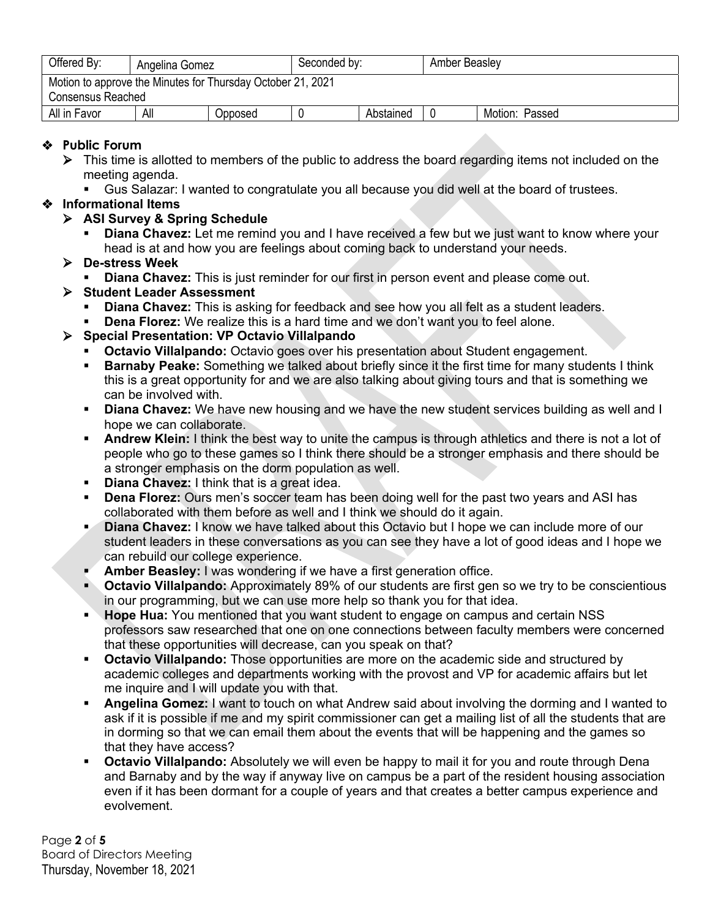| Offered By:                                                                             | Angelina Gomez |  | Seconded by: |  | Amber Beasley |  |  |
|-----------------------------------------------------------------------------------------|----------------|--|--------------|--|---------------|--|--|
| Motion to approve the Minutes for Thursday October 21, 2021<br><b>Consensus Reached</b> |                |  |              |  |               |  |  |
| All<br>All in Favor<br>Abstained<br>Motion: Passed<br>Opposed                           |                |  |              |  |               |  |  |

## **Public Forum**

- $\triangleright$  This time is allotted to members of the public to address the board regarding items not included on the meeting agenda.
	- § Gus Salazar: I wanted to congratulate you all because you did well at the board of trustees.

#### **Informational Items**

- Ø **ASI Survey & Spring Schedule**
	- **Diana Chavez:** Let me remind you and I have received a few but we just want to know where your head is at and how you are feelings about coming back to understand your needs.
- Ø **De-stress Week**
	- **Diana Chavez:** This is just reminder for our first in person event and please come out.
- Ø **Student Leader Assessment**
	- § **Diana Chavez:** This is asking for feedback and see how you all felt as a student leaders.
	- § **Dena Florez:** We realize this is a hard time and we don't want you to feel alone.

## Ø **Special Presentation: VP Octavio Villalpando**

- **Octavio Villalpando:** Octavio goes over his presentation about Student engagement.
- **Barnaby Peake:** Something we talked about briefly since it the first time for many students I think this is a great opportunity for and we are also talking about giving tours and that is something we can be involved with.
- **Diana Chavez:** We have new housing and we have the new student services building as well and I hope we can collaborate.
- **Andrew Klein:** I think the best way to unite the campus is through athletics and there is not a lot of people who go to these games so I think there should be a stronger emphasis and there should be a stronger emphasis on the dorm population as well.
- **Diana Chavez:** I think that is a great idea.
- **Dena Florez:** Ours men's soccer team has been doing well for the past two years and ASI has collaborated with them before as well and I think we should do it again.
- § **Diana Chavez:** I know we have talked about this Octavio but I hope we can include more of our student leaders in these conversations as you can see they have a lot of good ideas and I hope we can rebuild our college experience.
- **Amber Beasley:** I was wondering if we have a first generation office.
- **Octavio Villalpando:** Approximately 89% of our students are first gen so we try to be conscientious in our programming, but we can use more help so thank you for that idea.
- **EXTER HOPE Hua:** You mentioned that you want student to engage on campus and certain NSS professors saw researched that one on one connections between faculty members were concerned that these opportunities will decrease, can you speak on that?
- **Octavio Villalpando:** Those opportunities are more on the academic side and structured by academic colleges and departments working with the provost and VP for academic affairs but let me inquire and I will update you with that.
- § **Angelina Gomez:** I want to touch on what Andrew said about involving the dorming and I wanted to ask if it is possible if me and my spirit commissioner can get a mailing list of all the students that are in dorming so that we can email them about the events that will be happening and the games so that they have access?
- **Octavio Villalpando:** Absolutely we will even be happy to mail it for you and route through Dena and Barnaby and by the way if anyway live on campus be a part of the resident housing association even if it has been dormant for a couple of years and that creates a better campus experience and evolvement.

Page **2** of **5** Board of Directors Meeting Thursday, November 18, 2021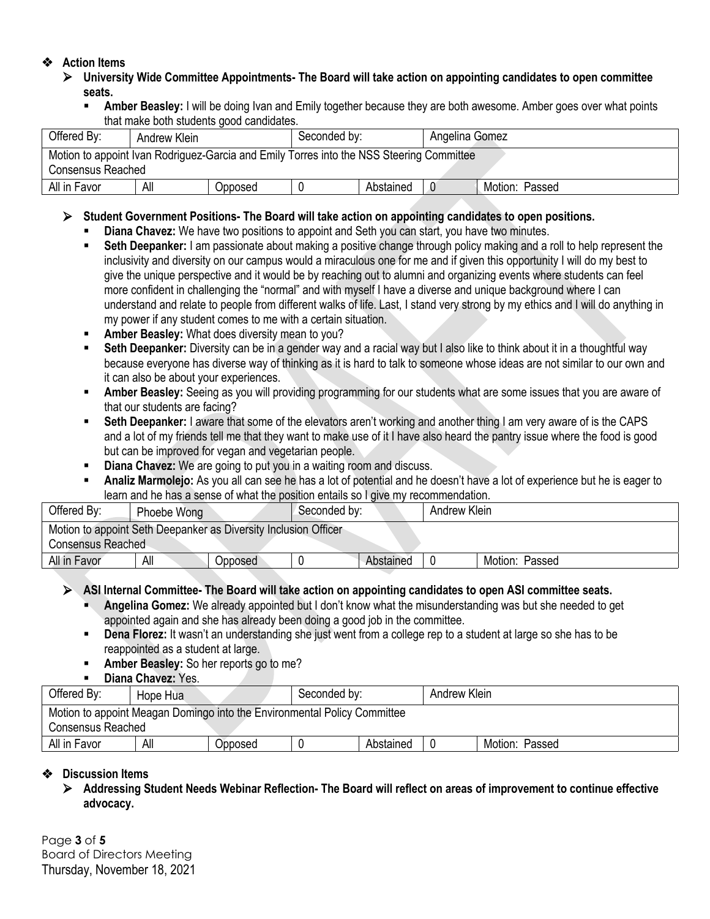#### **Action Items**

- Ø **University Wide Committee Appointments- The Board will take action on appointing candidates to open committee seats.**
	- **Amber Beasley:** I will be doing Ivan and Emily together because they are both awesome. Amber goes over what points that make both students good candidates.

| Offered By:                                                                                                          | Seconded by:<br>Andrew Klein |         |  |           | Angelina Gomez |                |  |  |  |
|----------------------------------------------------------------------------------------------------------------------|------------------------------|---------|--|-----------|----------------|----------------|--|--|--|
| Motion to appoint Ivan Rodriguez-Garcia and Emily Torres into the NSS Steering Committee<br><b>Consensus Reached</b> |                              |         |  |           |                |                |  |  |  |
| All in Favor                                                                                                         | All                          | Opposed |  | Abstained |                | Motion: Passed |  |  |  |

#### Ø **Student Government Positions- The Board will take action on appointing candidates to open positions.**

- § **Diana Chavez:** We have two positions to appoint and Seth you can start, you have two minutes.
- **Seth Deepanker:** I am passionate about making a positive change through policy making and a roll to help represent the inclusivity and diversity on our campus would a miraculous one for me and if given this opportunity I will do my best to give the unique perspective and it would be by reaching out to alumni and organizing events where students can feel more confident in challenging the "normal" and with myself I have a diverse and unique background where I can understand and relate to people from different walks of life. Last, I stand very strong by my ethics and I will do anything in my power if any student comes to me with a certain situation.
- § **Amber Beasley:** What does diversity mean to you?
- § **Seth Deepanker:** Diversity can be in a gender way and a racial way but I also like to think about it in a thoughtful way because everyone has diverse way of thinking as it is hard to talk to someone whose ideas are not similar to our own and it can also be about your experiences.
- **Amber Beasley:** Seeing as you will providing programming for our students what are some issues that you are aware of that our students are facing?
- § **Seth Deepanker:** I aware that some of the elevators aren't working and another thing I am very aware of is the CAPS and a lot of my friends tell me that they want to make use of it I have also heard the pantry issue where the food is good but can be improved for vegan and vegetarian people.
- § **Diana Chavez:** We are going to put you in a waiting room and discuss.
- § **Analiz Marmolejo:** As you all can see he has a lot of potential and he doesn't have a lot of experience but he is eager to learn and he has a sense of what the position entails so I give my recommendation.

| Offered By:                                                                                 | Phoebe Wong |         | Seconded by: |           | Andrew Klein |                |  |  |
|---------------------------------------------------------------------------------------------|-------------|---------|--------------|-----------|--------------|----------------|--|--|
| Motion to appoint Seth Deepanker as Diversity Inclusion Officer<br><b>Consensus Reached</b> |             |         |              |           |              |                |  |  |
| All in Favor                                                                                | All         | Opposed |              | Abstained |              | Motion: Passed |  |  |

#### Ø **ASI Internal Committee- The Board will take action on appointing candidates to open ASI committee seats.**

- § **Angelina Gomez:** We already appointed but I don't know what the misunderstanding was but she needed to get appointed again and she has already been doing a good job in the committee.
- § **Dena Florez:** It wasn't an understanding she just went from a college rep to a student at large so she has to be reappointed as a student at large.
- **EXECUTE:** Amber Beasley: So her reports go to me?
- § **Diana Chavez:** Yes.

| Offered By:                                                                                   | Hope Hua |         | Seconded by: |           | Andrew Klein |                   |  |  |
|-----------------------------------------------------------------------------------------------|----------|---------|--------------|-----------|--------------|-------------------|--|--|
| Motion to appoint Meagan Domingo into the Environmental Policy Committee<br>Consensus Reached |          |         |              |           |              |                   |  |  |
| All in Favor                                                                                  | All      | Opposed |              | Abstained |              | Motion:<br>Passed |  |  |

#### **Discussion Items**

Ø **Addressing Student Needs Webinar Reflection- The Board will reflect on areas of improvement to continue effective advocacy.**

Page **3** of **5** Board of Directors Meeting Thursday, November 18, 2021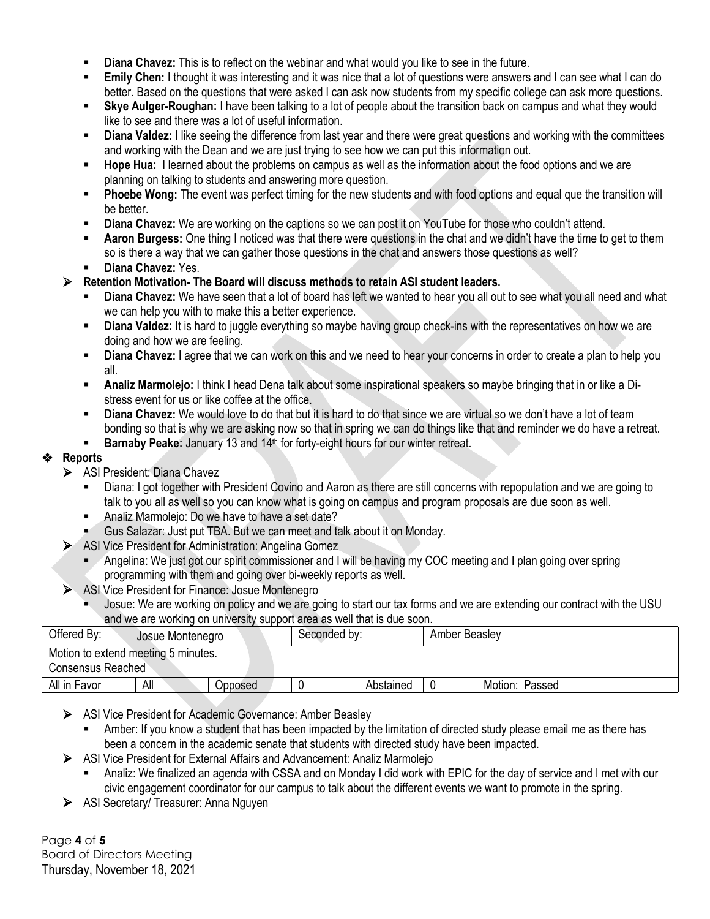- § **Diana Chavez:** This is to reflect on the webinar and what would you like to see in the future.
- **Emily Chen:** I thought it was interesting and it was nice that a lot of questions were answers and I can see what I can do better. Based on the questions that were asked I can ask now students from my specific college can ask more questions.
- § **Skye Aulger-Roughan:** I have been talking to a lot of people about the transition back on campus and what they would like to see and there was a lot of useful information.
- **Diana Valdez:** I like seeing the difference from last year and there were great questions and working with the committees and working with the Dean and we are just trying to see how we can put this information out.
- § **Hope Hua:** I learned about the problems on campus as well as the information about the food options and we are planning on talking to students and answering more question.
- **Phoebe Wong:** The event was perfect timing for the new students and with food options and equal que the transition will be better.
- § **Diana Chavez:** We are working on the captions so we can post it on YouTube for those who couldn't attend.
- **Aaron Burgess:** One thing I noticed was that there were questions in the chat and we didn't have the time to get to them so is there a way that we can gather those questions in the chat and answers those questions as well?
- § **Diana Chavez:** Yes.
- Ø **Retention Motivation- The Board will discuss methods to retain ASI student leaders.**
	- § **Diana Chavez:** We have seen that a lot of board has left we wanted to hear you all out to see what you all need and what we can help you with to make this a better experience.
	- **Diana Valdez:** It is hard to juggle everything so maybe having group check-ins with the representatives on how we are doing and how we are feeling.
	- **Diana Chavez:** I agree that we can work on this and we need to hear your concerns in order to create a plan to help you all.
	- § **Analiz Marmolejo:** I think I head Dena talk about some inspirational speakers so maybe bringing that in or like a Distress event for us or like coffee at the office.
	- **Diana Chavez:** We would love to do that but it is hard to do that since we are virtual so we don't have a lot of team bonding so that is why we are asking now so that in spring we can do things like that and reminder we do have a retreat.
	- **Barnaby Peake:** January 13 and 14<sup>th</sup> for forty-eight hours for our winter retreat.

#### **Reports**

- Ø ASI President: Diana Chavez
	- § Diana: I got together with President Covino and Aaron as there are still concerns with repopulation and we are going to talk to you all as well so you can know what is going on campus and program proposals are due soon as well.
	- § Analiz Marmolejo: Do we have to have a set date?
	- § Gus Salazar: Just put TBA. But we can meet and talk about it on Monday.
- Ø ASI Vice President for Administration: Angelina Gomez
	- § Angelina: We just got our spirit commissioner and I will be having my COC meeting and I plan going over spring programming with them and going over bi-weekly reports as well.
- Ø ASI Vice President for Finance: Josue Montenegro
	- Josue: We are working on policy and we are going to start our tax forms and we are extending our contract with the USU and we are working on university support area as well that is due soon.

| Offered By:                                              | Josue Montenegro |         | Seconded by: |           |  | Amber Beasley  |  |  |
|----------------------------------------------------------|------------------|---------|--------------|-----------|--|----------------|--|--|
| Motion to extend meeting 5 minutes.<br>Consensus Reached |                  |         |              |           |  |                |  |  |
| All in Favor                                             | All              | Opposed |              | Abstained |  | Motion: Passed |  |  |

- Ø ASI Vice President for Academic Governance: Amber Beasley
	- Amber: If you know a student that has been impacted by the limitation of directed study please email me as there has been a concern in the academic senate that students with directed study have been impacted.
- Ø ASI Vice President for External Affairs and Advancement: Analiz Marmolejo
	- § Analiz: We finalized an agenda with CSSA and on Monday I did work with EPIC for the day of service and I met with our civic engagement coordinator for our campus to talk about the different events we want to promote in the spring.
- Ø ASI Secretary/ Treasurer: Anna Nguyen

Page **4** of **5** Board of Directors Meeting Thursday, November 18, 2021